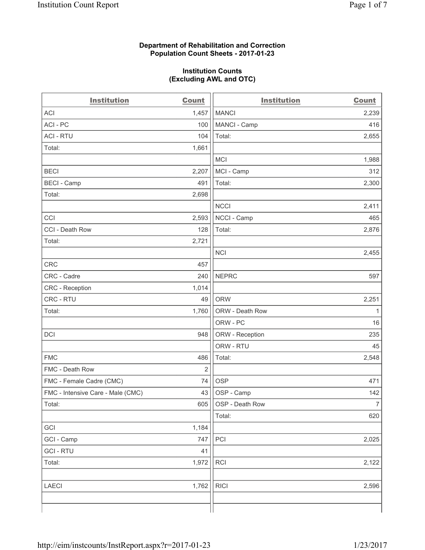### **Department of Rehabilitation and Correction Population Count Sheets - 2017-01-23**

#### **Institution Counts (Excluding AWL and OTC)**

| <b>Institution</b>                | <b>Count</b>   | <b>Institution</b> | <b>Count</b>   |
|-----------------------------------|----------------|--------------------|----------------|
| <b>ACI</b>                        | 1,457          | <b>MANCI</b>       | 2,239          |
| ACI-PC                            | 100            | MANCI - Camp       | 416            |
| <b>ACI - RTU</b>                  | 104            | Total:             | 2,655          |
| Total:                            | 1,661          |                    |                |
|                                   |                | <b>MCI</b>         | 1,988          |
| <b>BECI</b>                       | 2,207          | MCI - Camp         | 312            |
| <b>BECI</b> - Camp                | 491            | Total:             | 2,300          |
| Total:                            | 2,698          |                    |                |
|                                   |                | <b>NCCI</b>        | 2,411          |
| CCI                               | 2,593          | NCCI - Camp        | 465            |
| CCI - Death Row                   | 128            | Total:             | 2,876          |
| Total:                            | 2,721          |                    |                |
|                                   |                | <b>NCI</b>         | 2,455          |
| <b>CRC</b>                        | 457            |                    |                |
| CRC - Cadre                       | 240            | <b>NEPRC</b>       | 597            |
| CRC - Reception                   | 1,014          |                    |                |
| CRC - RTU                         | 49             | <b>ORW</b>         | 2,251          |
| Total:                            | 1,760          | ORW - Death Row    | 1              |
|                                   |                | ORW - PC           | 16             |
| DCI                               | 948            | ORW - Reception    | 235            |
|                                   |                | ORW - RTU          | 45             |
| <b>FMC</b>                        | 486            | Total:             | 2,548          |
| FMC - Death Row                   | $\overline{2}$ |                    |                |
| FMC - Female Cadre (CMC)          | 74             | <b>OSP</b>         | 471            |
| FMC - Intensive Care - Male (CMC) | 43             | OSP - Camp         | 142            |
| Total:                            | 605            | OSP - Death Row    | $\overline{7}$ |
|                                   |                | Total:             | 620            |
| GCI                               | 1,184          |                    |                |
| GCI - Camp                        | 747            | PCI                | 2,025          |
| <b>GCI - RTU</b>                  | 41             |                    |                |
| Total:                            | 1,972          | <b>RCI</b>         | 2,122          |
|                                   |                |                    |                |
| <b>LAECI</b>                      | 1,762          | <b>RICI</b>        | 2,596          |
|                                   |                |                    |                |
|                                   |                |                    |                |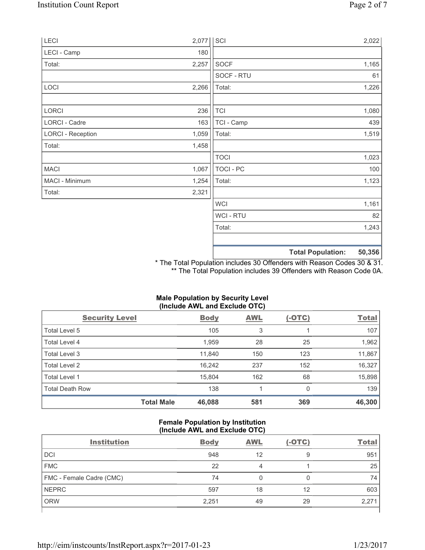| LECI                     | 2,077 | SCI              |                          | 2,022  |
|--------------------------|-------|------------------|--------------------------|--------|
| LECI - Camp              | 180   |                  |                          |        |
| Total:                   | 2,257 | <b>SOCF</b>      |                          | 1,165  |
|                          |       | SOCF - RTU       |                          | 61     |
| LOCI                     | 2,266 | Total:           |                          | 1,226  |
| LORCI                    | 236   | <b>TCI</b>       |                          | 1,080  |
| LORCI - Cadre            | 163   | TCI - Camp       |                          | 439    |
| <b>LORCI - Reception</b> | 1,059 | Total:           |                          | 1,519  |
| Total:                   | 1,458 |                  |                          |        |
|                          |       | <b>TOCI</b>      |                          | 1,023  |
| <b>MACI</b>              | 1,067 | <b>TOCI - PC</b> |                          | 100    |
| MACI - Minimum           | 1,254 | Total:           |                          | 1,123  |
| Total:                   | 2,321 |                  |                          |        |
|                          |       | <b>WCI</b>       |                          | 1,161  |
|                          |       | WCI - RTU        |                          | 82     |
|                          |       | Total:           |                          | 1,243  |
|                          |       |                  | <b>Total Population:</b> | 50,356 |

\* The Total Population includes 30 Offenders with Reason Codes 30 & 31. \*\* The Total Population includes 39 Offenders with Reason Code 0A.

| <b>Male Population by Security Level</b><br>(Include AWL and Exclude OTC) |             |            |          |  |  |
|---------------------------------------------------------------------------|-------------|------------|----------|--|--|
| evel                                                                      | <b>Body</b> | <b>AWL</b> | $(-OTC)$ |  |  |
|                                                                           | 10E         |            |          |  |  |

| <b>Security Level</b>  |                   | <b>Body</b> | <b>AWL</b> | <u>(-OTC)</u> | <b>Total</b> |
|------------------------|-------------------|-------------|------------|---------------|--------------|
| Total Level 5          |                   | 105         | 3          |               | 107          |
| Total Level 4          |                   | 1,959       | 28         | 25            | 1,962        |
| Total Level 3          |                   | 11,840      | 150        | 123           | 11,867       |
| Total Level 2          |                   | 16,242      | 237        | 152           | 16,327       |
| Total Level 1          |                   | 15,804      | 162        | 68            | 15,898       |
| <b>Total Death Row</b> |                   | 138         |            | 0             | 139          |
|                        | <b>Total Male</b> | 46,088      | 581        | 369           | 46,300       |

## **Female Population by Institution (Include AWL and Exclude OTC)**

| <b>Institution</b>       | <b>Body</b> | <b>AWL</b> | $(-OTC)$ | <b>Total</b> |
|--------------------------|-------------|------------|----------|--------------|
| <b>DCI</b>               | 948         | 12         | 9        | 951          |
| <b>FMC</b>               | 22          |            |          | 25           |
| FMC - Female Cadre (CMC) | 74          | 0          | 0        | 74           |
| <b>NEPRC</b>             | 597         | 18         | 12       | 603          |
| <b>ORW</b>               | 2,251       | 49         | 29       | 2,271        |
|                          |             |            |          |              |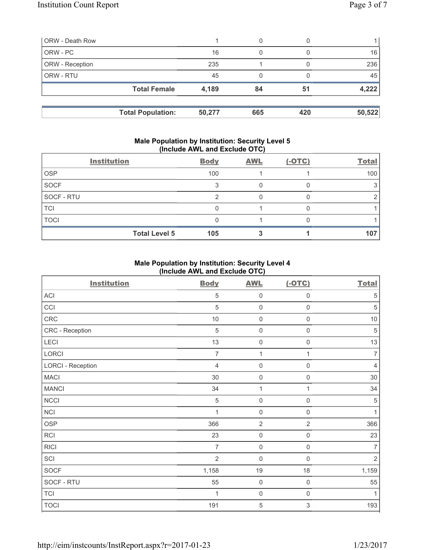| <b>ORW</b> - Death Row |                          |        | 0   |     |        |
|------------------------|--------------------------|--------|-----|-----|--------|
| ORW - PC               |                          | 16     | 0   |     | 16     |
| ORW - Reception        |                          | 235    |     |     | 236    |
| <b>ORW - RTU</b>       |                          | 45     | 0   |     | 45     |
|                        | <b>Total Female</b>      | 4,189  | 84  | 51  | 4,222  |
|                        |                          |        |     |     |        |
|                        | <b>Total Population:</b> | 50,277 | 665 | 420 | 50,522 |

#### **Male Population by Institution: Security Level 5 (Include AWL and Exclude OTC)**

|             | <b>Institution</b>   | <b>Body</b> | <b>AWL</b> | $(-OTC)$ | <b>Total</b> |
|-------------|----------------------|-------------|------------|----------|--------------|
| <b>OSP</b>  |                      | 100         |            |          | 100          |
| SOCF        |                      |             |            |          |              |
| SOCF - RTU  |                      |             |            |          |              |
| <b>TCI</b>  |                      |             |            |          |              |
| <b>TOCI</b> |                      |             |            |          |              |
|             | <b>Total Level 5</b> | 105         |            |          | 107          |

## **Male Population by Institution: Security Level 4 (Include AWL and Exclude OTC)**

| <b>Institution</b>       | <b>Body</b>    | <b>AWL</b>          | $(-OTC)$            | <b>Total</b>   |
|--------------------------|----------------|---------------------|---------------------|----------------|
| ACI                      | 5              | $\mathsf 0$         | 0                   | 5              |
| CCI                      | 5              | $\mathbf 0$         | $\mathsf 0$         | $\sqrt{5}$     |
| CRC                      | $10$           | $\mathsf{O}\xspace$ | 0                   | $10$           |
| CRC - Reception          | 5              | $\mathbf 0$         | 0                   | $\sqrt{5}$     |
| LECI                     | 13             | $\mathbf 0$         | 0                   | 13             |
| LORCI                    | $\overline{7}$ | $\mathbf{1}$        | 1                   | $\overline{7}$ |
| <b>LORCI - Reception</b> | $\overline{4}$ | $\mathbf 0$         | 0                   | $\overline{4}$ |
| <b>MACI</b>              | 30             | $\mathsf 0$         | $\mathsf{O}\xspace$ | 30             |
| <b>MANCI</b>             | 34             | 1                   | 1                   | 34             |
| <b>NCCI</b>              | $\sqrt{5}$     | $\mathbf 0$         | $\mathsf 0$         | $\sqrt{5}$     |
| NCI                      | 1              | $\mathsf{O}\xspace$ | $\mathsf{O}\xspace$ | $\mathbf{1}$   |
| <b>OSP</b>               | 366            | $\overline{2}$      | $\overline{2}$      | 366            |
| <b>RCI</b>               | 23             | $\mathbf 0$         | $\mathsf{O}\xspace$ | 23             |
| <b>RICI</b>              | $\overline{7}$ | $\mathbf 0$         | $\mathsf{O}\xspace$ | $\overline{7}$ |
| SCI                      | $\overline{2}$ | $\mathbf 0$         | 0                   | $\overline{2}$ |
| <b>SOCF</b>              | 1,158          | 19                  | 18                  | 1,159          |
| SOCF - RTU               | 55             | $\mathbf 0$         | $\mathsf{O}\xspace$ | 55             |
| <b>TCI</b>               | 1              | $\mathsf 0$         | $\mathsf{O}\xspace$ | $\mathbf{1}$   |
| <b>TOCI</b>              | 191            | $\sqrt{5}$          | 3                   | 193            |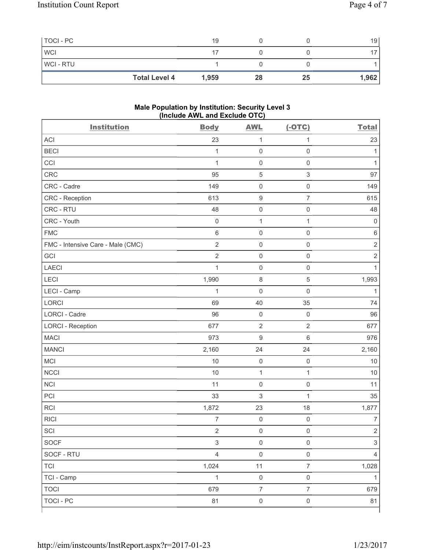| TOCI - PC      |                      | 19    |    |    | 19    |
|----------------|----------------------|-------|----|----|-------|
| <b>WCI</b>     |                      |       |    |    |       |
| <b>WCI-RTU</b> |                      |       |    |    |       |
|                | <b>Total Level 4</b> | 1,959 | 28 | 25 | 1,962 |

#### **Male Population by Institution: Security Level 3 (Include AWL and Exclude OTC)**

| <b>Institution</b>                | <b>Body</b>               | <b>AWL</b>          | $(-OTC)$                  | <b>Total</b>     |
|-----------------------------------|---------------------------|---------------------|---------------------------|------------------|
| <b>ACI</b>                        | 23                        | $\mathbf{1}$        | $\mathbf{1}$              | 23               |
| <b>BECI</b>                       | $\mathbf{1}$              | $\mathsf{O}\xspace$ | $\mathsf{O}\xspace$       | 1                |
| CCI                               | $\mathbf{1}$              | $\mathsf{O}\xspace$ | $\mathsf 0$               | 1                |
| CRC                               | 95                        | $\sqrt{5}$          | $\ensuremath{\mathsf{3}}$ | 97               |
| CRC - Cadre                       | 149                       | $\mathsf{O}\xspace$ | $\mathsf 0$               | 149              |
| CRC - Reception                   | 613                       | $\boldsymbol{9}$    | $\overline{7}$            | 615              |
| CRC - RTU                         | 48                        | $\mathsf{O}\xspace$ | $\mathsf 0$               | 48               |
| CRC - Youth                       | $\mathsf{O}\xspace$       | $\mathbf{1}$        | $\mathbf{1}$              | 0                |
| <b>FMC</b>                        | 6                         | $\mathsf{O}\xspace$ | $\mathbf 0$               | $\,6$            |
| FMC - Intensive Care - Male (CMC) | $\sqrt{2}$                | $\mathsf{O}\xspace$ | $\mathsf 0$               | $\mathbf 2$      |
| GCI                               | $\overline{2}$            | $\mathsf{O}\xspace$ | $\mathsf 0$               | $\overline{2}$   |
| <b>LAECI</b>                      | $\mathbf{1}$              | $\mathsf{O}\xspace$ | $\mathsf 0$               | $\mathbf{1}$     |
| LECI                              | 1,990                     | $\,8\,$             | $\sqrt{5}$                | 1,993            |
| LECI - Camp                       | $\mathbf{1}$              | $\mathbf 0$         | $\mathbf 0$               | 1                |
| LORCI                             | 69                        | 40                  | 35                        | 74               |
| <b>LORCI - Cadre</b>              | 96                        | $\mathsf{O}\xspace$ | $\mathsf 0$               | 96               |
| <b>LORCI - Reception</b>          | 677                       | $\sqrt{2}$          | $\sqrt{2}$                | 677              |
| <b>MACI</b>                       | 973                       | $\boldsymbol{9}$    | $6\,$                     | 976              |
| <b>MANCI</b>                      | 2,160                     | 24                  | 24                        | 2,160            |
| MCI                               | $10$                      | $\mathsf{O}\xspace$ | $\mathsf 0$               | 10               |
| <b>NCCI</b>                       | 10                        | $\mathbf{1}$        | 1                         | 10               |
| <b>NCI</b>                        | 11                        | $\mathsf{O}\xspace$ | $\mathsf 0$               | 11               |
| PCI                               | 33                        | $\mathsf 3$         | 1                         | 35               |
| <b>RCI</b>                        | 1,872                     | 23                  | 18                        | 1,877            |
| <b>RICI</b>                       | $\overline{7}$            | $\mathsf{O}\xspace$ | $\mathbf 0$               | $\boldsymbol{7}$ |
| SCI                               | $\overline{c}$            | $\mathsf 0$         | $\mathsf{O}\xspace$       | $\overline{2}$   |
| <b>SOCF</b>                       | $\ensuremath{\mathsf{3}}$ | $\mathsf 0$         | $\mathsf 0$               | $\sqrt{3}$       |
| SOCF - RTU                        | $\overline{4}$            | $\mathsf{O}\xspace$ | $\mathsf 0$               | 4                |
| <b>TCI</b>                        | 1,024                     | 11                  | $\boldsymbol{7}$          | 1,028            |
| TCI - Camp                        | $\mathbf{1}$              | $\mathsf{O}\xspace$ | $\mathsf 0$               | $\mathbf{1}$     |
| <b>TOCI</b>                       | 679                       | $\overline{7}$      | $\overline{7}$            | 679              |
| <b>TOCI - PC</b>                  | 81                        | $\mathsf{O}\xspace$ | $\mathsf{O}\xspace$       | 81               |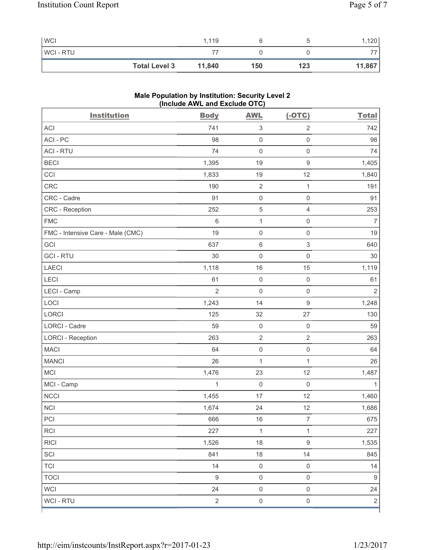| <b>WCI</b>     |                      | 1,119  |     |     | ,120   |
|----------------|----------------------|--------|-----|-----|--------|
| <b>WCI-RTU</b> |                      |        |     |     |        |
|                | <b>Total Level 3</b> | 11,840 | 150 | 123 | 11,867 |

# **Male Population by Institution: Security Level 2 (Include AWL and Exclude OTC)**

| <b>Institution</b>                | <b>Body</b>      | <b>AWL</b>                | $(-OTC)$            | <b>Total</b>     |
|-----------------------------------|------------------|---------------------------|---------------------|------------------|
| <b>ACI</b>                        | 741              | $\ensuremath{\mathsf{3}}$ | $\overline{2}$      | 742              |
| ACI-PC                            | 98               | $\mathsf 0$               | $\mathsf{O}\xspace$ | 98               |
| <b>ACI - RTU</b>                  | 74               | $\mathbf 0$               | $\mathsf 0$         | 74               |
| <b>BECI</b>                       | 1,395            | 19                        | $\boldsymbol{9}$    | 1,405            |
| CCI                               | 1,833            | 19                        | 12                  | 1,840            |
| CRC                               | 190              | $\sqrt{2}$                | $\mathbf{1}$        | 191              |
| CRC - Cadre                       | 91               | $\mathsf{O}\xspace$       | $\mathsf 0$         | 91               |
| CRC - Reception                   | 252              | $\,$ 5 $\,$               | $\overline{4}$      | 253              |
| <b>FMC</b>                        | 6                | $\mathbf 1$               | $\mathsf 0$         | $\overline{7}$   |
| FMC - Intensive Care - Male (CMC) | 19               | $\mathsf{O}\xspace$       | $\mathbf 0$         | 19               |
| GCI                               | 637              | $\,6\,$                   | $\mathsf 3$         | 640              |
| <b>GCI-RTU</b>                    | 30               | $\mathsf{O}\xspace$       | $\mathsf 0$         | 30               |
| <b>LAECI</b>                      | 1,118            | 16                        | 15                  | 1,119            |
| LECI                              | 61               | $\mathsf{O}\xspace$       | $\mathsf 0$         | 61               |
| LECI - Camp                       | $\overline{2}$   | $\mathbf 0$               | $\mathsf{O}\xspace$ | $\overline{2}$   |
| LOCI                              | 1,243            | 14                        | $\boldsymbol{9}$    | 1,248            |
| LORCI                             | 125              | 32                        | 27                  | 130              |
| LORCI - Cadre                     | 59               | $\mathsf{O}\xspace$       | $\mathsf{O}\xspace$ | 59               |
| <b>LORCI - Reception</b>          | 263              | $\overline{2}$            | $\mathbf 2$         | 263              |
| <b>MACI</b>                       | 64               | $\mathsf 0$               | $\mathsf 0$         | 64               |
| <b>MANCI</b>                      | 26               | $\mathbf 1$               | $\mathbf{1}$        | 26               |
| MCI                               | 1,476            | 23                        | 12                  | 1,487            |
| MCI - Camp                        | $\mathbf{1}$     | $\mathsf{O}\xspace$       | $\mathsf{O}\xspace$ | 1                |
| <b>NCCI</b>                       | 1,455            | 17                        | 12                  | 1,460            |
| <b>NCI</b>                        | 1,674            | 24                        | 12                  | 1,686            |
| PCI                               | 666              | $16$                      | $\overline{7}$      | 675              |
| <b>RCI</b>                        | 227              | 1                         | 1                   | 227              |
| <b>RICI</b>                       | 1,526            | 18                        | $\boldsymbol{9}$    | 1,535            |
| SCI                               | 841              | 18                        | 14                  | 845              |
| <b>TCI</b>                        | 14               | $\mathsf{O}\xspace$       | $\mathsf 0$         | 14               |
| <b>TOCI</b>                       | $\boldsymbol{9}$ | $\mathsf{O}\xspace$       | $\mathsf 0$         | $\boldsymbol{9}$ |
| <b>WCI</b>                        | 24               | $\mathsf{O}\xspace$       | $\mathsf{O}\xspace$ | 24               |
| WCI - RTU                         | $\sqrt{2}$       | $\mathsf{O}\xspace$       | $\mathsf 0$         | $\overline{2}$   |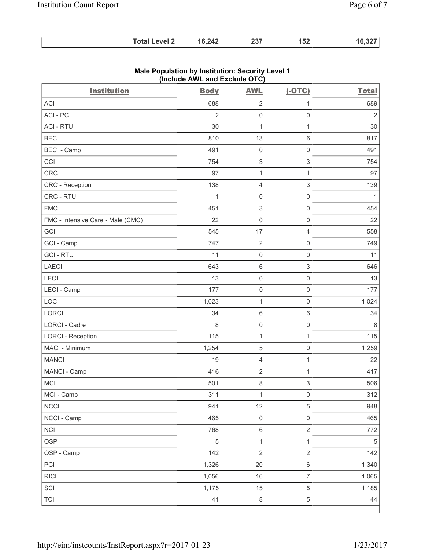| <b>Total Level 2</b> | 16,242 | 237 | 152 | 16,327 |
|----------------------|--------|-----|-----|--------|
|----------------------|--------|-----|-----|--------|

| <b>Institution</b>                | <b>Body</b>    | <b>AWL</b>                | $(-OTC)$                  | <b>Total</b>   |
|-----------------------------------|----------------|---------------------------|---------------------------|----------------|
| <b>ACI</b>                        | 688            | $\sqrt{2}$                | 1                         | 689            |
| ACI-PC                            | $\overline{2}$ | $\mathsf{O}\xspace$       | $\mathbf 0$               | $\overline{2}$ |
| <b>ACI - RTU</b>                  | 30             | $\mathbf{1}$              | $\mathbf{1}$              | 30             |
| <b>BECI</b>                       | 810            | 13                        | $\,6\,$                   | 817            |
| <b>BECI - Camp</b>                | 491            | $\mathsf{O}\xspace$       | $\mathsf{O}\xspace$       | 491            |
| CCI                               | 754            | $\ensuremath{\mathsf{3}}$ | $\ensuremath{\mathsf{3}}$ | 754            |
| CRC                               | 97             | $\mathbf 1$               | 1                         | 97             |
| CRC - Reception                   | 138            | $\overline{4}$            | $\ensuremath{\mathsf{3}}$ | 139            |
| CRC - RTU                         | $\mathbf{1}$   | $\mathsf{O}\xspace$       | $\mathsf 0$               | $\mathbf{1}$   |
| <b>FMC</b>                        | 451            | $\ensuremath{\mathsf{3}}$ | $\mathsf{O}\xspace$       | 454            |
| FMC - Intensive Care - Male (CMC) | 22             | $\mathsf{O}\xspace$       | $\mathsf 0$               | 22             |
| GCI                               | 545            | 17                        | $\overline{4}$            | 558            |
| GCI - Camp                        | 747            | $\mathbf 2$               | $\mathsf{O}\xspace$       | 749            |
| <b>GCI-RTU</b>                    | 11             | $\mathsf{O}\xspace$       | $\mathsf 0$               | 11             |
| <b>LAECI</b>                      | 643            | $\,6\,$                   | $\ensuremath{\mathsf{3}}$ | 646            |
| LECI                              | 13             | $\mathsf{O}\xspace$       | $\mathsf 0$               | 13             |
| LECI - Camp                       | 177            | $\mathsf 0$               | $\mathsf{O}\xspace$       | 177            |
| LOCI                              | 1,023          | $\mathbf{1}$              | $\mathbf 0$               | 1,024          |
| LORCI                             | 34             | $\,6\,$                   | $\,6\,$                   | 34             |
| LORCI - Cadre                     | 8              | $\mathsf{O}\xspace$       | $\mathbf 0$               | 8              |
| <b>LORCI - Reception</b>          | 115            | $\mathbf 1$               | $\mathbf{1}$              | 115            |
| MACI - Minimum                    | 1,254          | $\sqrt{5}$                | $\mathsf 0$               | 1,259          |
| <b>MANCI</b>                      | 19             | $\overline{4}$            | 1                         | 22             |
| MANCI - Camp                      | 416            | $\overline{2}$            | 1                         | 417            |
| MCI                               | 501            | $\,8\,$                   | $\ensuremath{\mathsf{3}}$ | 506            |
| MCI - Camp                        | 311            | 1                         | 0                         | 312            |
| <b>NCCI</b>                       | 941            | 12                        | $\sqrt{5}$                | 948            |
| NCCI - Camp                       | 465            | $\mathsf{O}\xspace$       | $\mathsf 0$               | 465            |
| <b>NCI</b>                        | 768            | $\,6\,$                   | $\sqrt{2}$                | 772            |
| <b>OSP</b>                        | $\sqrt{5}$     | $\mathbf{1}$              | $\mathbf 1$               | $\sqrt{5}$     |
| OSP - Camp                        | 142            | $\overline{2}$            | $\sqrt{2}$                | 142            |
| PCI                               | 1,326          | 20                        | $\,6\,$                   | 1,340          |
| <b>RICI</b>                       | 1,056          | 16                        | $\overline{7}$            | 1,065          |
| SCI                               | 1,175          | 15                        | $\,$ 5 $\,$               | 1,185          |
| <b>TCI</b>                        | 41             | $\,8\,$                   | $\,$ 5 $\,$               | 44             |

## **Male Population by Institution: Security Level 1 (Include AWL and Exclude OTC)**